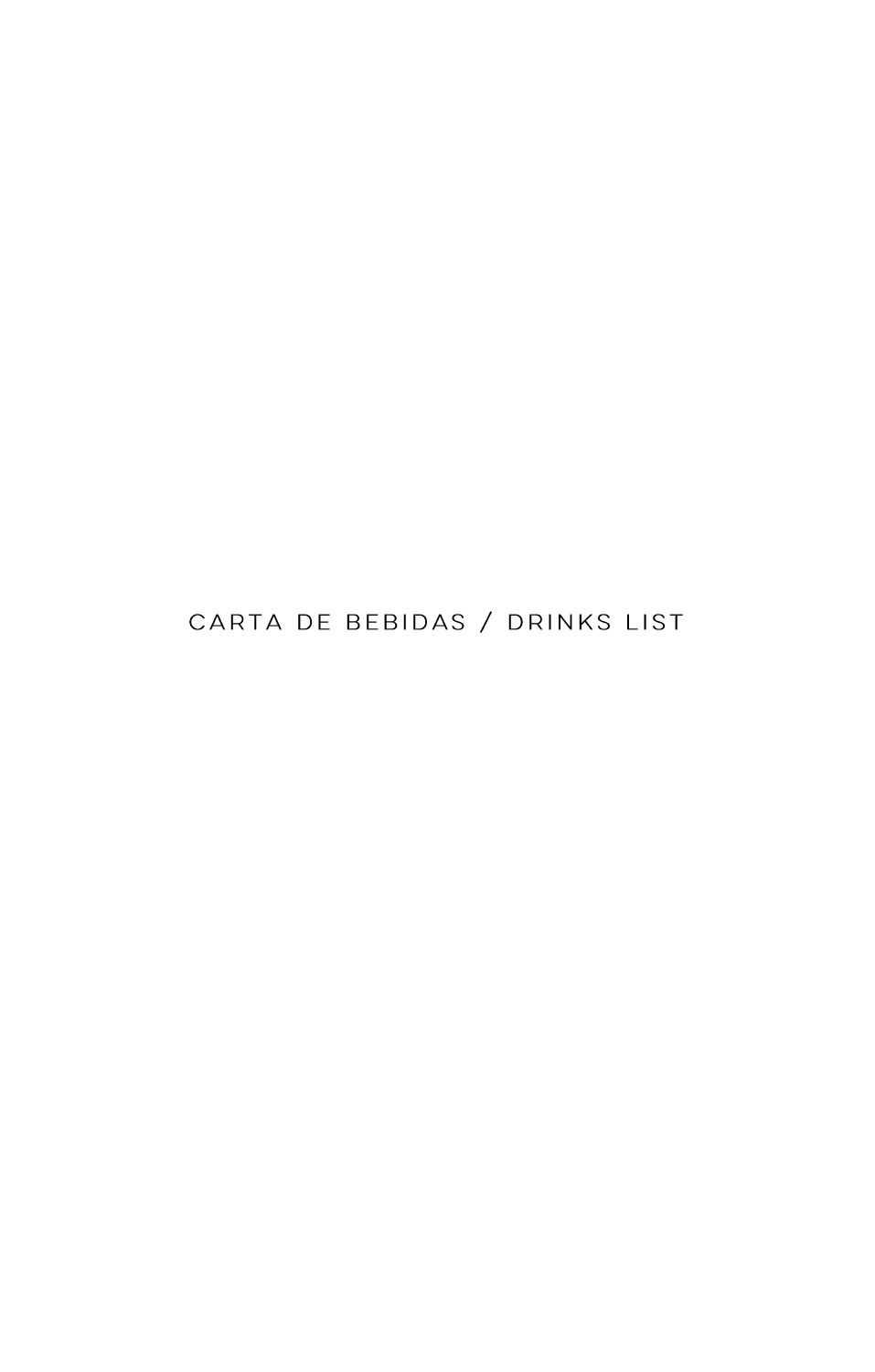CARTA DE BEBIDAS / DRINKS LIST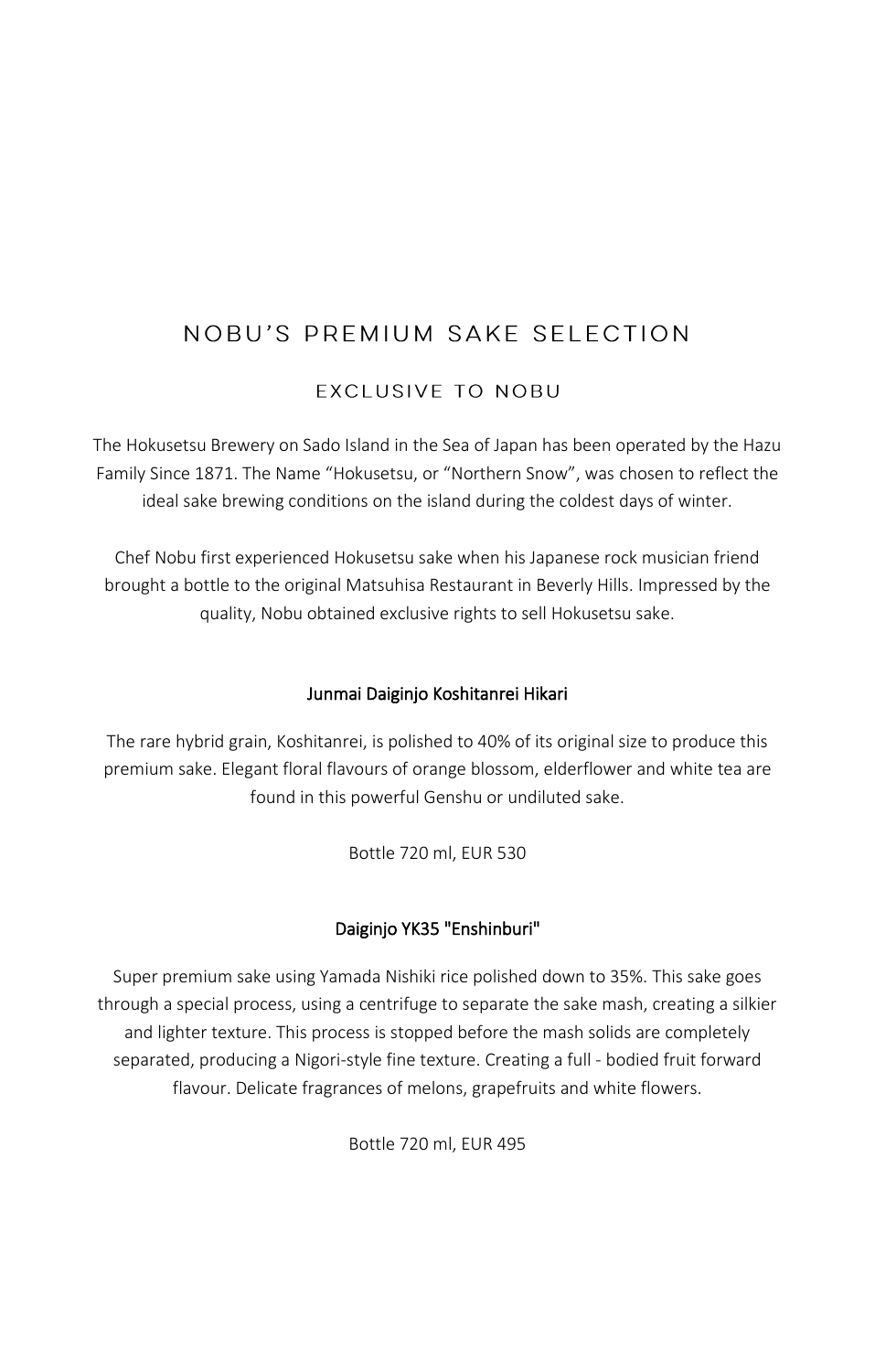# NOBU'S PREMIUM SAKE SELECTION

**EXCLUSIVE TO NOBU** 

The Hokusetsu Brewery on Sado Island in the Sea of Japan has been operated by the Hazu Family Since 1871. The Name "Hokusetsu, or "Northern Snow", was chosen to reflect the ideal sake brewing conditions on the island during the coldest days of winter.

Chef Nobu first experienced Hokusetsu sake when his Japanese rock musician friend brought a bottle to the original Matsuhisa Restaurant in Beverly Hills. Impressed by the quality, Nobu obtained exclusive rights to sell Hokusetsu sake.

### Junmai Daiginjo Koshitanrei Hikari

The rare hybrid grain, Koshitanrei, is polished to 40% of its original size to produce this premium sake. Elegant floral flavours of orange blossom, elderflower and white tea are found in this powerful Genshu or undiluted sake.

Bottle 720 ml, EUR 530

### Daiginjo YK35 "Enshinburi"

Super premium sake using Yamada Nishiki rice polished down to 35%. This sake goes through a special process, using a centrifuge to separate the sake mash, creating a silkier and lighter texture. This process is stopped before the mash solids are completely separated, producing a Nigori-style fine texture. Creating a full - bodied fruit forward flavour. Delicate fragrances of melons, grapefruits and white flowers.

Bottle 720 ml, EUR 495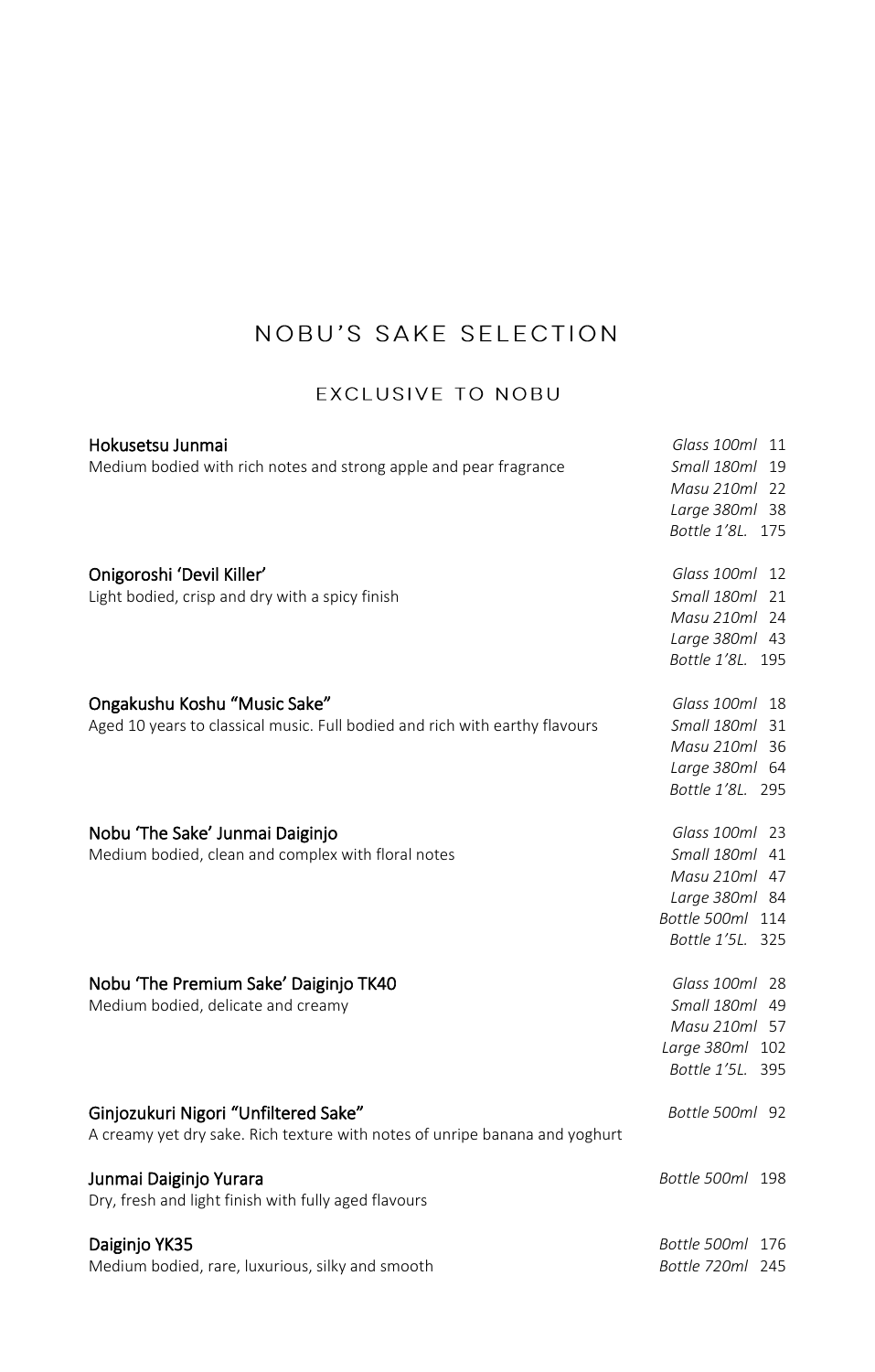# NOBU'S SAKE SELECTION

### EXCLUSIVE TO NOBU

| Hokusetsu Junmai                                                            | Glass 100ml 11   |
|-----------------------------------------------------------------------------|------------------|
| Medium bodied with rich notes and strong apple and pear fragrance           | Small 180ml 19   |
|                                                                             | Masu 210ml 22    |
|                                                                             | Large 380ml 38   |
|                                                                             | Bottle 1'8L. 175 |
| Onigoroshi 'Devil Killer'                                                   | Glass 100ml 12   |
| Light bodied, crisp and dry with a spicy finish                             | Small 180ml 21   |
|                                                                             | Masu 210ml 24    |
|                                                                             | Large 380ml 43   |
|                                                                             | Bottle 1'8L. 195 |
| Ongakushu Koshu "Music Sake"                                                | Glass 100ml 18   |
| Aged 10 years to classical music. Full bodied and rich with earthy flavours | Small 180ml 31   |
|                                                                             | Masu 210ml 36    |
|                                                                             | Large 380ml 64   |
|                                                                             | Bottle 1'8L. 295 |
| Nobu 'The Sake' Junmai Daiginjo                                             | Glass 100ml 23   |
| Medium bodied, clean and complex with floral notes                          | Small 180ml 41   |
|                                                                             | Masu 210ml 47    |
|                                                                             | Large 380ml 84   |
|                                                                             | Bottle 500ml 114 |
|                                                                             | Bottle 1'5L. 325 |
| Nobu 'The Premium Sake' Daiginjo TK40                                       | Glass 100ml 28   |
| Medium bodied, delicate and creamy                                          | Small 180ml 49   |
|                                                                             | Masu 210ml 57    |
|                                                                             | Large 380ml 102  |
|                                                                             | Bottle 1'5L. 395 |
| Ginjozukuri Nigori "Unfiltered Sake"                                        | Bottle 500ml 92  |
| A creamy yet dry sake. Rich texture with notes of unripe banana and yoghurt |                  |
| Junmai Daiginjo Yurara                                                      | Bottle 500ml 198 |
| Dry, fresh and light finish with fully aged flavours                        |                  |
| Daiginjo YK35                                                               | Bottle 500ml 176 |
| Medium bodied, rare, luxurious, silky and smooth                            | Bottle 720ml 245 |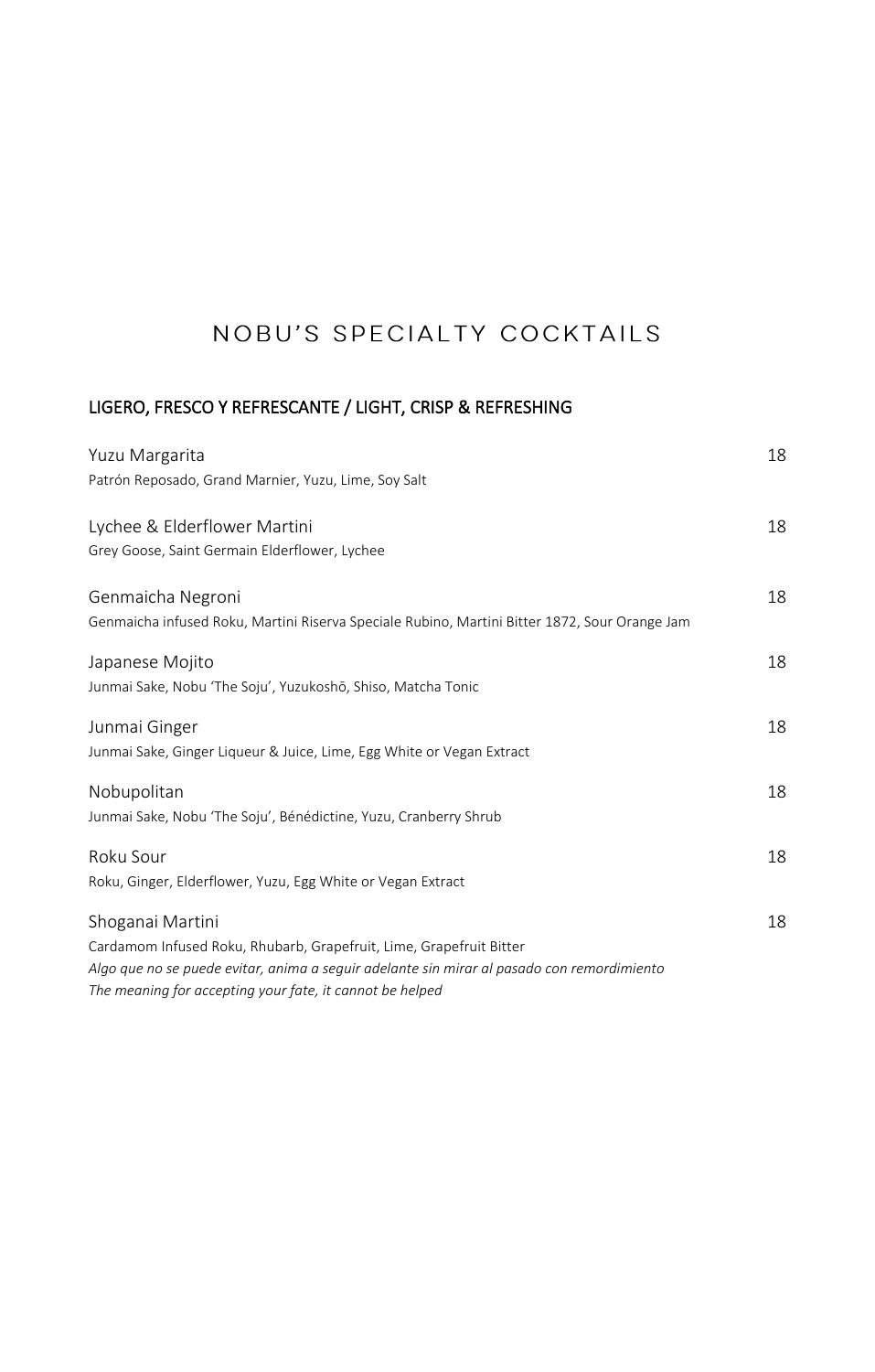# NOBU'S SPECIALTY COCKTAILS

### LIGERO, FRESCO Y REFRESCANTE / LIGHT, CRISP & REFRESHING

| Yuzu Margarita                                                                                | 18 |
|-----------------------------------------------------------------------------------------------|----|
| Patrón Reposado, Grand Marnier, Yuzu, Lime, Soy Salt                                          |    |
| Lychee & Elderflower Martini                                                                  | 18 |
| Grey Goose, Saint Germain Elderflower, Lychee                                                 |    |
| Genmaicha Negroni                                                                             | 18 |
| Genmaicha infused Roku, Martini Riserva Speciale Rubino, Martini Bitter 1872, Sour Orange Jam |    |
| Japanese Mojito                                                                               | 18 |
| Junmai Sake, Nobu 'The Soju', Yuzukoshō, Shiso, Matcha Tonic                                  |    |
| Junmai Ginger                                                                                 | 18 |
| Junmai Sake, Ginger Liqueur & Juice, Lime, Egg White or Vegan Extract                         |    |
| Nobupolitan                                                                                   | 18 |
| Junmai Sake, Nobu 'The Soju', Bénédictine, Yuzu, Cranberry Shrub                              |    |
| Roku Sour                                                                                     | 18 |
| Roku, Ginger, Elderflower, Yuzu, Egg White or Vegan Extract                                   |    |
| Shoganai Martini                                                                              | 18 |
| Cardamom Infused Roku, Rhubarb, Grapefruit, Lime, Grapefruit Bitter                           |    |
| Algo que no se puede evitar, anima a seguir adelante sin mirar al pasado con remordimiento    |    |
| The meaning for accepting your fate, it cannot be helped                                      |    |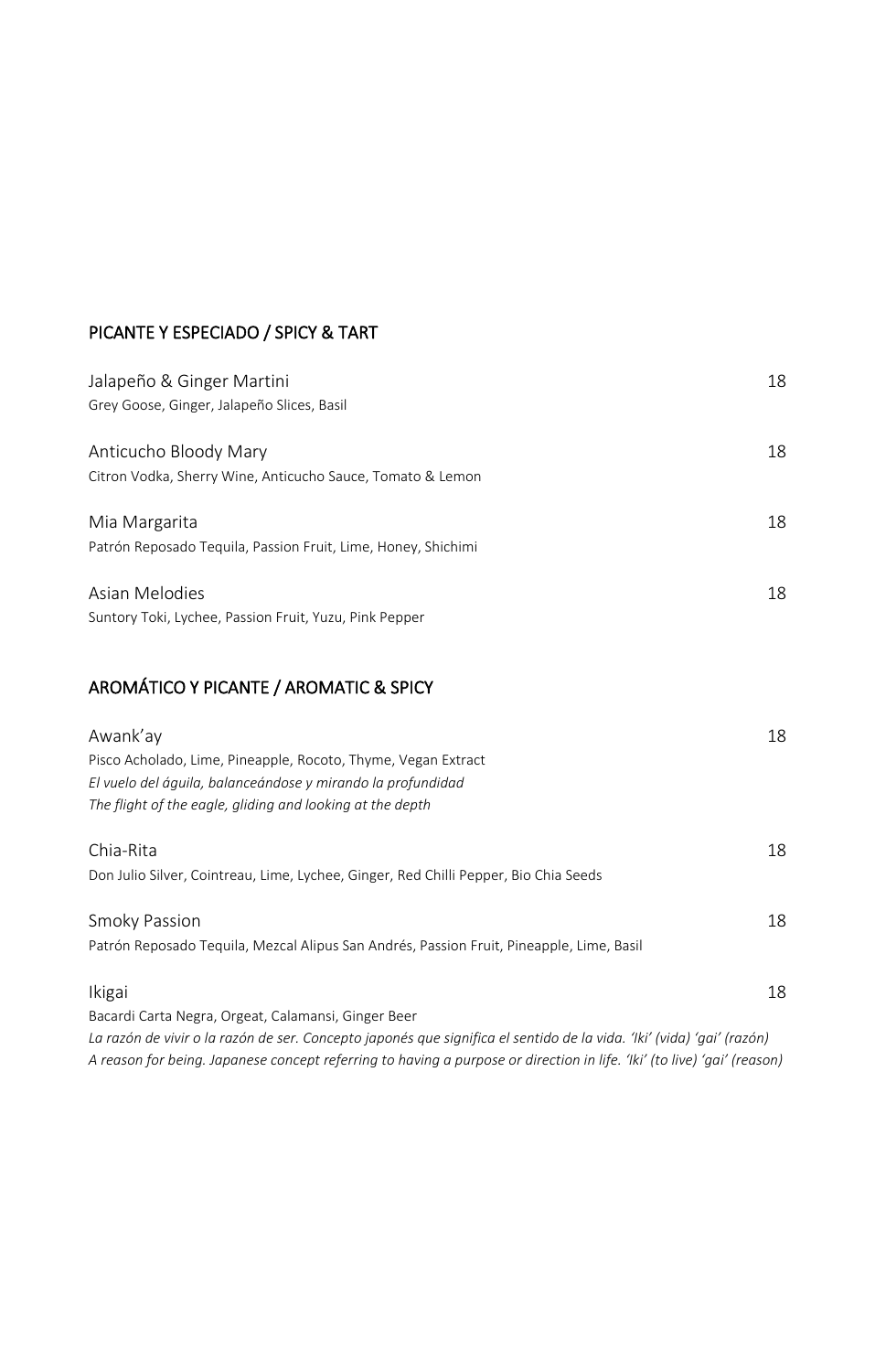#### PICANTE Y ESPECIADO / SPICY & TART

| Jalapeño & Ginger Martini<br>Grey Goose, Ginger, Jalapeño Slices, Basil             | 18 |
|-------------------------------------------------------------------------------------|----|
| Anticucho Bloody Mary<br>Citron Vodka, Sherry Wine, Anticucho Sauce, Tomato & Lemon | 18 |
| Mia Margarita<br>Patrón Reposado Teguila, Passion Fruit, Lime, Honey, Shichimi      | 18 |
| Asian Melodies<br>Suntory Toki, Lychee, Passion Fruit, Yuzu, Pink Pepper            | 18 |

### AROMÁTICO Y PICANTE / AROMATIC & SPICY

| Awank'ay<br>Pisco Acholado, Lime, Pineapple, Rocoto, Thyme, Vegan Extract<br>El vuelo del águila, balanceándose y mirando la profundidad<br>The flight of the eagle, gliding and looking at the depth | 18 |
|-------------------------------------------------------------------------------------------------------------------------------------------------------------------------------------------------------|----|
| Chia-Rita                                                                                                                                                                                             | 18 |
| Don Julio Silver, Cointreau, Lime, Lychee, Ginger, Red Chilli Pepper, Bio Chia Seeds                                                                                                                  |    |
| Smoky Passion                                                                                                                                                                                         | 18 |
| Patrón Reposado Tequila, Mezcal Alipus San Andrés, Passion Fruit, Pineapple, Lime, Basil                                                                                                              |    |
| Ikigai                                                                                                                                                                                                | 18 |
| Bacardi Carta Negra, Orgeat, Calamansi, Ginger Beer                                                                                                                                                   |    |

*La razón de vivir o la razón de ser. Concepto japonés que significa el sentido de la vida. 'Iki' (vida) 'gai' (razón) A reason for being. Japanese concept referring to having a purpose or direction in life. 'Iki' (to live) 'gai' (reason)*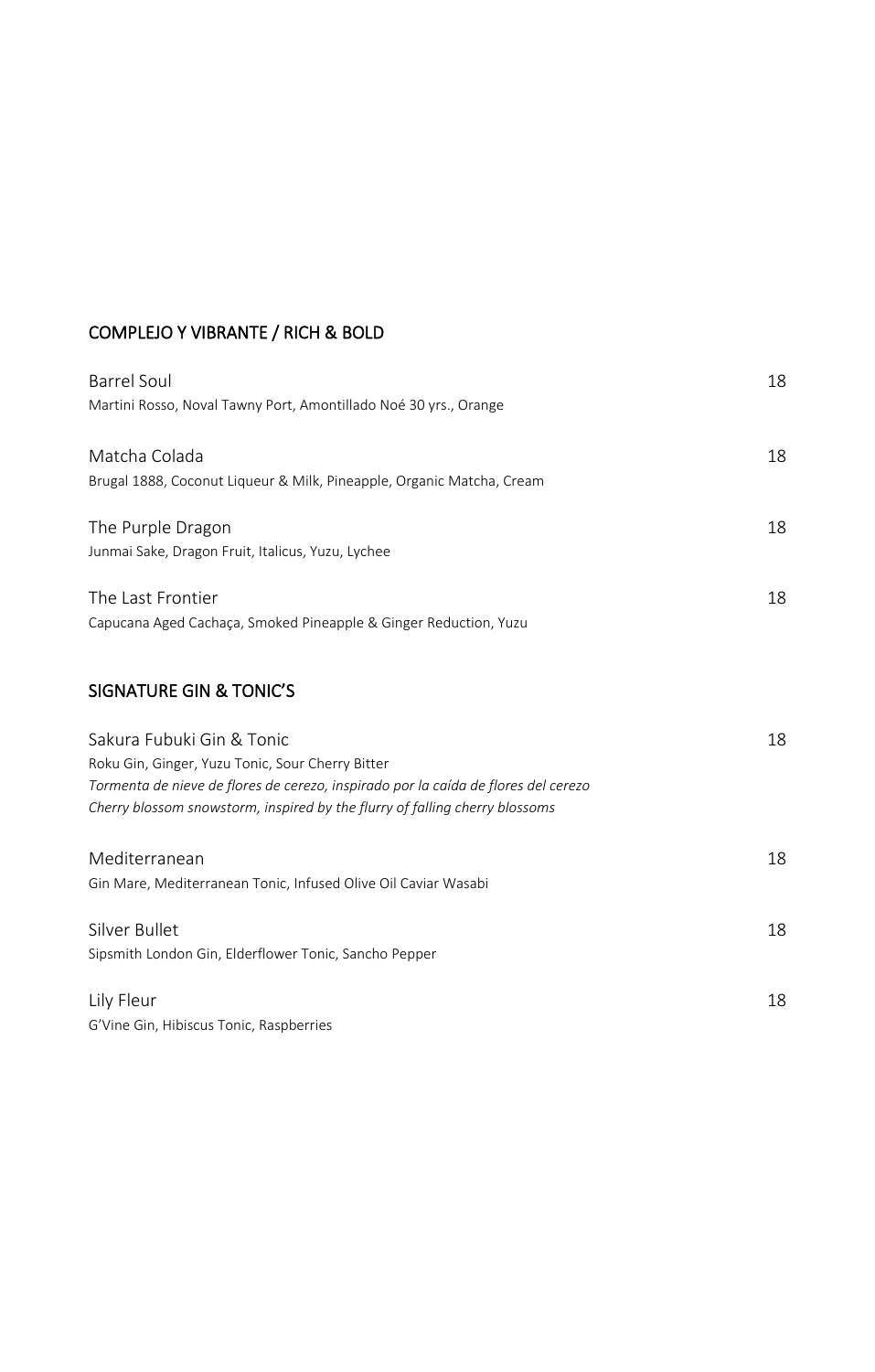### COMPLEJO Y VIBRANTE / RICH & BOLD

| <b>Barrel Soul</b>                                                                 | 18 |
|------------------------------------------------------------------------------------|----|
| Martini Rosso, Noval Tawny Port, Amontillado Noé 30 yrs., Orange                   |    |
| Matcha Colada                                                                      | 18 |
| Brugal 1888, Coconut Liqueur & Milk, Pineapple, Organic Matcha, Cream              |    |
| The Purple Dragon                                                                  | 18 |
| Junmai Sake, Dragon Fruit, Italicus, Yuzu, Lychee                                  |    |
| The Last Frontier                                                                  | 18 |
| Capucana Aged Cachaça, Smoked Pineapple & Ginger Reduction, Yuzu                   |    |
| <b>SIGNATURE GIN &amp; TONIC'S</b>                                                 |    |
| Sakura Fubuki Gin & Tonic                                                          | 18 |
| Roku Gin, Ginger, Yuzu Tonic, Sour Cherry Bitter                                   |    |
| Tormenta de nieve de flores de cerezo, inspirado por la caída de flores del cerezo |    |
| Cherry blossom snowstorm, inspired by the flurry of falling cherry blossoms        |    |
| Mediterranean                                                                      | 18 |
| Gin Mare, Mediterranean Tonic, Infused Olive Oil Caviar Wasabi                     |    |
| Silver Bullet                                                                      | 18 |
| Sipsmith London Gin, Elderflower Tonic, Sancho Pepper                              |    |
| Lily Fleur                                                                         | 18 |
| G'Vine Gin, Hibiscus Tonic, Raspberries                                            |    |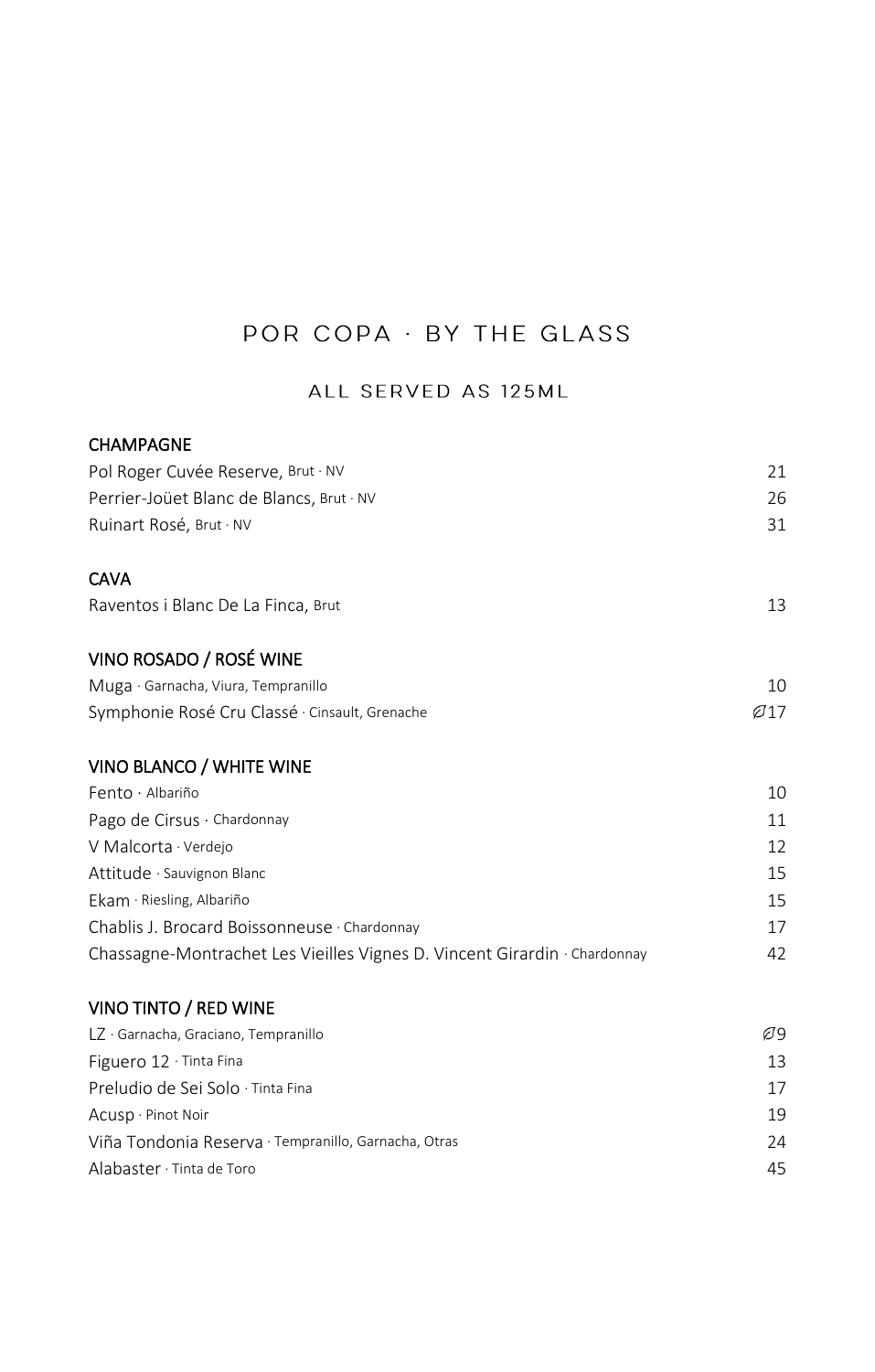# POR COPA · BY THE GLASS

### ALL SERVED AS 125ML

| <b>CHAMPAGNE</b>                                                          |                  |
|---------------------------------------------------------------------------|------------------|
| Pol Roger Cuvée Reserve, Brut · NV                                        | 21               |
| Perrier-Joüet Blanc de Blancs, Brut · NV                                  | 26               |
| Ruinart Rosé, Brut · NV                                                   | 31               |
| <b>CAVA</b>                                                               |                  |
| Raventos i Blanc De La Finca, Brut                                        | 13               |
| VINO ROSADO / ROSÉ WINE                                                   |                  |
| Muga · Garnacha, Viura, Tempranillo                                       | 10               |
| Symphonie Rosé Cru Classé · Cinsault, Grenache                            | $\varnothing$ 17 |
| VINO BLANCO / WHITE WINE                                                  |                  |
| Fento · Albariño                                                          | 10               |
| Pago de Cirsus · Chardonnay                                               | 11               |
| V Malcorta · Verdejo                                                      | 12               |
| Attitude · Sauvignon Blanc                                                | 15               |
| Ekam · Riesling, Albariño                                                 | 15               |
| Chablis J. Brocard Boissonneuse · Chardonnay                              | 17               |
| Chassagne-Montrachet Les Vieilles Vignes D. Vincent Girardin · Chardonnay | 42               |
| VINO TINTO / RED WINE                                                     |                  |
| LZ · Garnacha, Graciano, Tempranillo                                      | Ø9               |
| Figuero 12 · Tinta Fina                                                   | 13               |
| Preludio de Sei Solo · Tinta Fina                                         | 17               |
| Acusp · Pinot Noir                                                        | 19               |
| Viña Tondonia Reserva · Tempranillo, Garnacha, Otras                      | 24               |
| Alabaster · Tinta de Toro                                                 | 45               |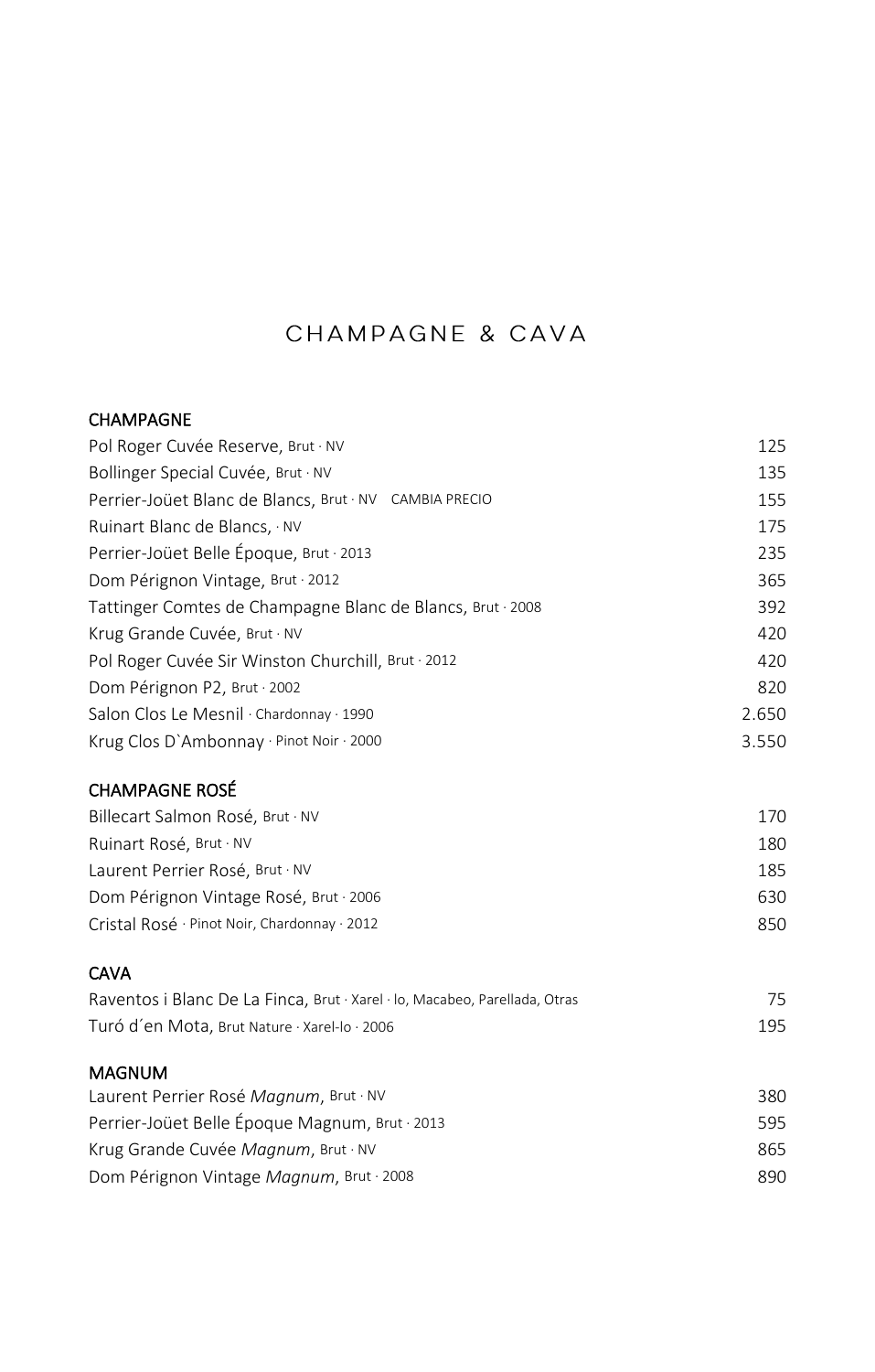## CHAMPAGNE & CAVA

#### CHAMPAGNE

| Pol Roger Cuvée Reserve, Brut · NV                                         | 125   |
|----------------------------------------------------------------------------|-------|
| Bollinger Special Cuvée, Brut · NV                                         | 135   |
| Perrier-Joüet Blanc de Blancs, Brut · NV CAMBIA PRECIO                     | 155   |
| Ruinart Blanc de Blancs, NV                                                | 175   |
| Perrier-Joüet Belle Époque, Brut · 2013                                    | 235   |
| Dom Pérignon Vintage, Brut . 2012                                          | 365   |
| Tattinger Comtes de Champagne Blanc de Blancs, Brut 2008                   | 392   |
| Krug Grande Cuvée, Brut · NV                                               | 420   |
| Pol Roger Cuvée Sir Winston Churchill, Brut 2012                           | 420   |
| Dom Pérignon P2, Brut · 2002                                               | 820   |
| Salon Clos Le Mesnil · Chardonnay · 1990                                   | 2.650 |
| Krug Clos D'Ambonnay · Pinot Noir · 2000                                   | 3.550 |
| <b>CHAMPAGNE ROSÉ</b>                                                      |       |
| Billecart Salmon Rosé, Brut · NV                                           | 170   |
| Ruinart Rosé, Brut · NV                                                    | 180   |
| Laurent Perrier Rosé, Brut · NV                                            | 185   |
| Dom Pérignon Vintage Rosé, Brut · 2006                                     | 630   |
| Cristal Rosé · Pinot Noir, Chardonnay · 2012                               | 850   |
| <b>CAVA</b>                                                                |       |
| Raventos i Blanc De La Finca, Brut · Xarel · lo, Macabeo, Parellada, Otras | 75    |

| Turó d'en Mota, Brut Nature · Xarel-lo · 2006 |  |
|-----------------------------------------------|--|

#### MAGNUM

| Laurent Perrier Rosé Magnum, Brut · NV         | 380. |
|------------------------------------------------|------|
| Perrier-Joüet Belle Époque Magnum, Brut · 2013 | 595. |
| Krug Grande Cuvée Magnum, Brut · NV            | 865. |
| Dom Pérignon Vintage Magnum, Brut 2008         | 890. |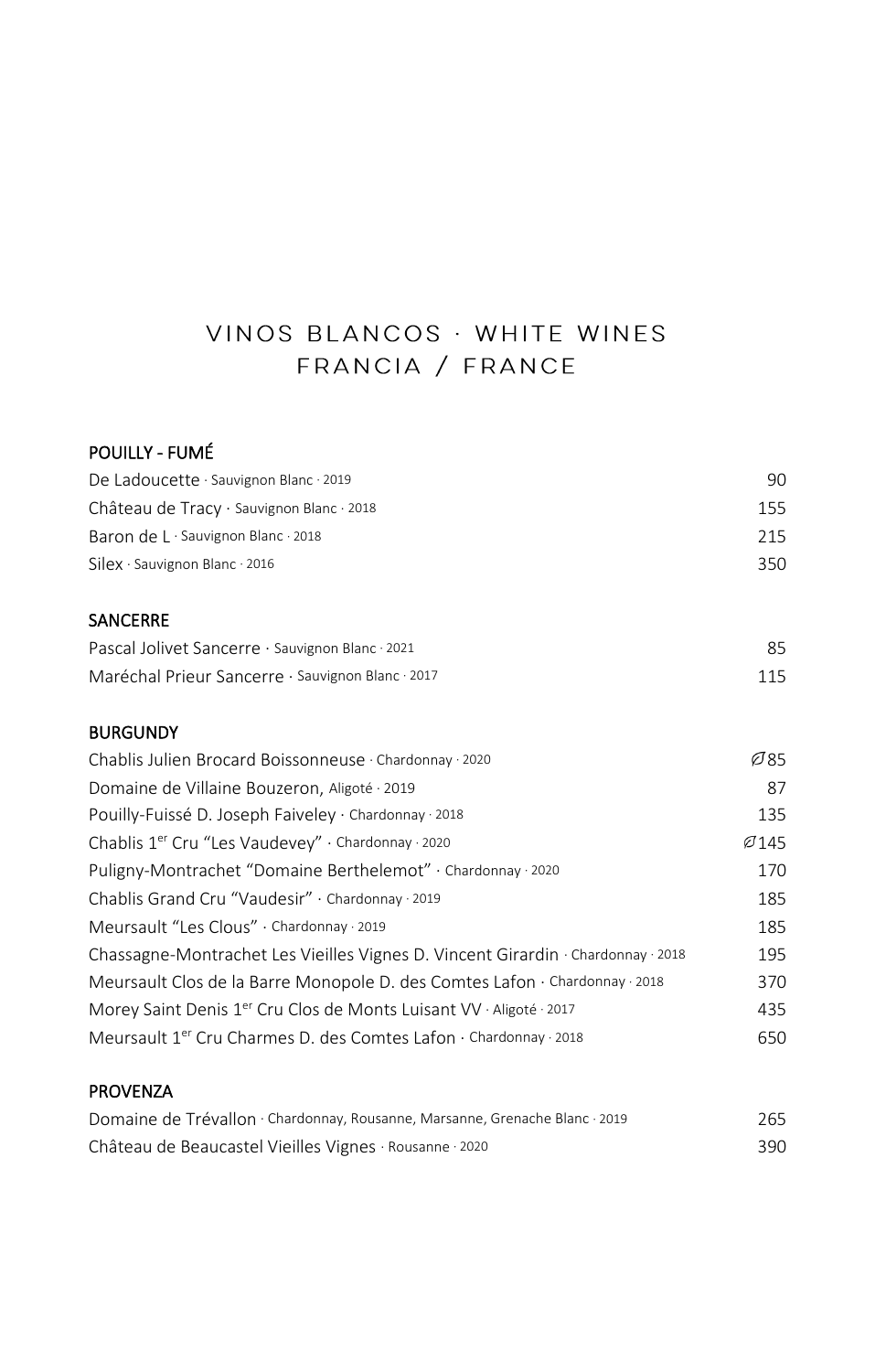# VINOS BLANCOS · WHITE WINES FRANCIA / FRANCE

#### POUILLY - FUMÉ

| De Ladoucette · Sauvignon Blanc · 2019                | 90.  |
|-------------------------------------------------------|------|
| Château de Tracy $\cdot$ Sauvignon Blanc $\cdot$ 2018 | 155. |
| Baron de $L \cdot$ Sauvignon Blanc $\cdot$ 2018       | 215  |
| $Silex \cdot$ Sauvignon Blanc 2016                    | 350  |

#### SANCERRE

| Pascal Jolivet Sancerre · Sauvignon Blanc · 2021  | 85  |
|---------------------------------------------------|-----|
| Maréchal Prieur Sancerre · Sauvignon Blanc · 2017 | 115 |

#### BURGUNDY

| Chablis Julien Brocard Boissonneuse · Chardonnay · 2020                                 | Ø85  |
|-----------------------------------------------------------------------------------------|------|
| Domaine de Villaine Bouzeron, Aligoté · 2019                                            | 87   |
| Pouilly-Fuissé D. Joseph Faiveley · Chardonnay · 2018                                   | 135  |
| Chablis 1er Cru "Les Vaudevey" · Chardonnay · 2020                                      | Ø145 |
| Puligny-Montrachet "Domaine Berthelemot" · Chardonnay · 2020                            | 170  |
| Chablis Grand Cru "Vaudesir" · Chardonnay · 2019                                        | 185  |
| Meursault "Les Clous" · Chardonnay · 2019                                               | 185  |
| Chassagne-Montrachet Les Vieilles Vignes D. Vincent Girardin · Chardonnay · 2018        | 195  |
| Meursault Clos de la Barre Monopole D. des Comtes Lafon $\cdot$ Chardonnay $\cdot$ 2018 | 370  |
| Morey Saint Denis 1 <sup>er</sup> Cru Clos de Monts Luisant VV · Aligoté · 2017         | 435  |
| Meursault 1 <sup>er</sup> Cru Charmes D. des Comtes Lafon · Chardonnay · 2018           | 650  |
|                                                                                         |      |

#### PROVENZA

| Domaine de Trévallon · Chardonnay, Rousanne, Marsanne, Grenache Blanc · 2019 | 265 |
|------------------------------------------------------------------------------|-----|
| Château de Beaucastel Vieilles Vignes · Rousanne · 2020                      | 390 |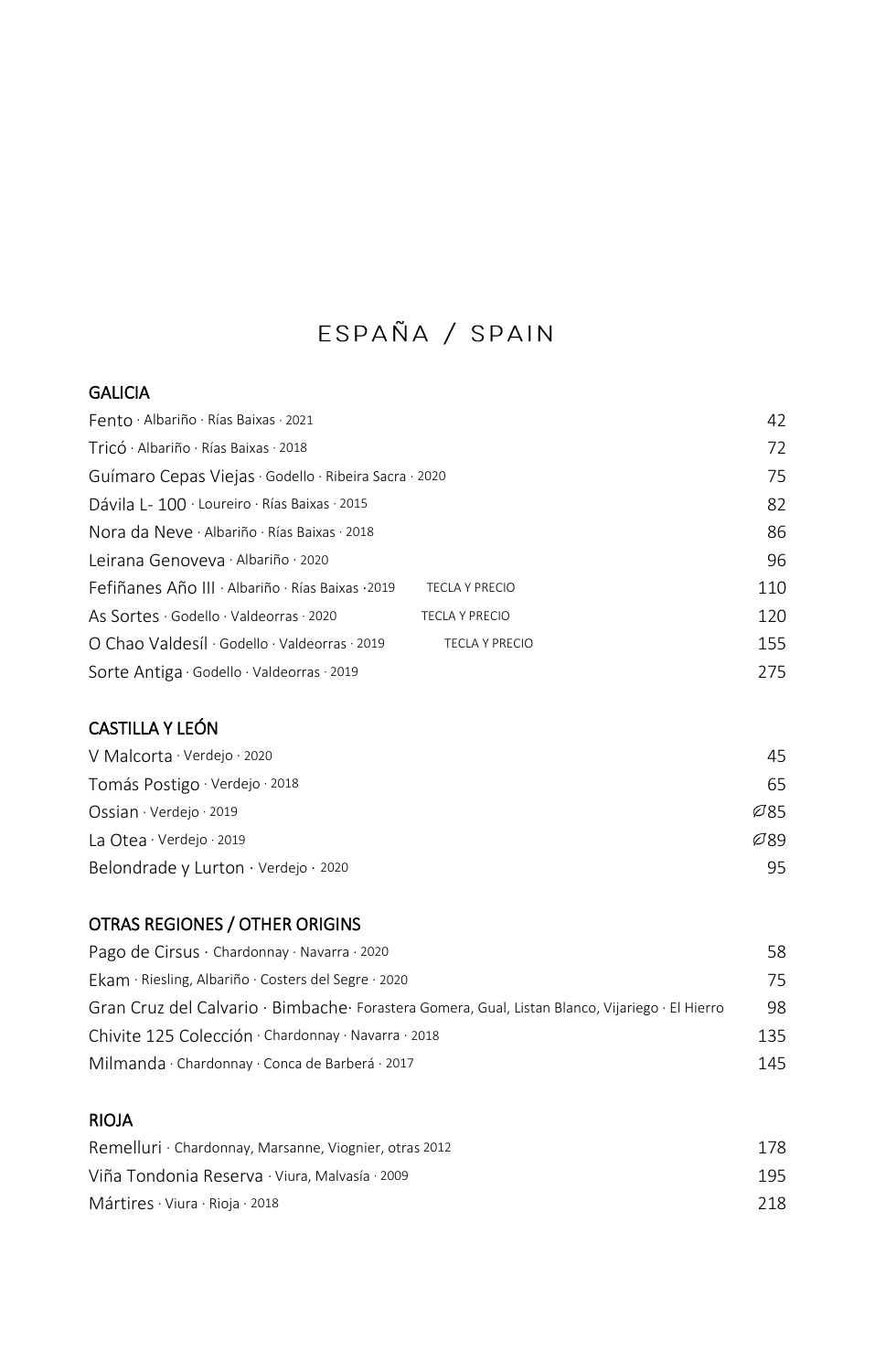# ESPAÑA / SPAIN

#### **GALICIA**

| Fento · Albariño · Rías Baixas · 2021                 |                       | 42  |
|-------------------------------------------------------|-----------------------|-----|
| Tricó · Albariño · Rías Baixas · 2018                 |                       | 72  |
| Guímaro Cepas Viejas · Godello · Ribeira Sacra · 2020 |                       | 75  |
| Dávila L- 100 · Loureiro · Rías Baixas · 2015         |                       | 82  |
| Nora da Neve · Albariño · Rías Baixas · 2018          |                       | 86  |
| Leirana Genoveva · Albariño · 2020                    |                       | 96  |
| Fefiñanes Año III · Albariño · Rías Baixas · 2019     | <b>TECLA Y PRECIO</b> | 110 |
| As Sortes · Godello · Valdeorras · 2020               | <b>TECLA Y PRECIO</b> | 120 |
| O Chao Valdesíl · Godello · Valdeorras · 2019         | <b>TECLA Y PRECIO</b> | 155 |
| Sorte Antiga · Godello · Valdeorras · 2019            |                       | 275 |

### CASTILLA Y LEÓN

| V Malcorta $\cdot$ Verdejo $\cdot$ 2020 | 45.  |
|-----------------------------------------|------|
| Tomás Postigo · Verdejo · 2018          | 65   |
| Ossian · Verdejo · 2019                 | Ø85. |
| La Otea · Verdejo · 2019                | Ø89  |
| Belondrade y Lurton · Verdejo · 2020    | 95   |

### OTRAS REGIONES / OTHER ORIGINS

| Pago de Cirsus · Chardonnay · Navarra · 2020                                                     | 58. |
|--------------------------------------------------------------------------------------------------|-----|
| Ekam · Riesling, Albariño · Costers del Segre · 2020                                             | 75  |
| Gran Cruz del Calvario · Bimbache · Forastera Gomera, Gual, Listan Blanco, Vijariego · El Hierro | 98  |
| Chivite 125 Colección · Chardonnay · Navarra · 2018                                              | 135 |
| Milmanda · Chardonnay · Conca de Barberá · 2017                                                  | 145 |

### RIOJA

| Remelluri · Chardonnay, Marsanne, Viognier, otras 2012 | 178 |
|--------------------------------------------------------|-----|
| Viña Tondonia Reserva · Viura, Malvasía · 2009         | 195 |
| Mártires $\cdot$ Viura $\cdot$ Rioja $\cdot$ 2018      | 218 |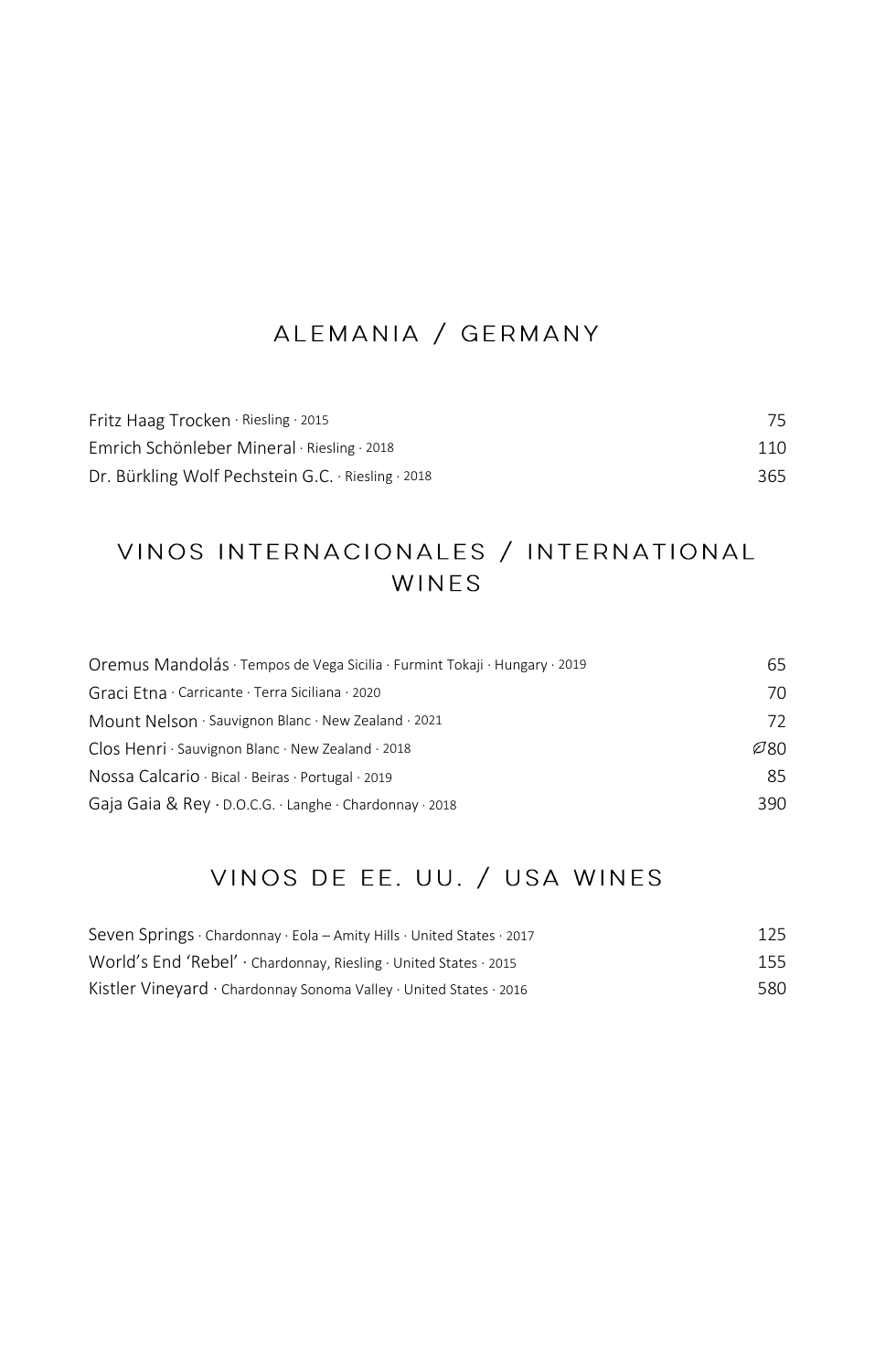## ALEMANIA / GERMANY

| Fritz Haag Trocken · Riesling · 2015               | 75  |
|----------------------------------------------------|-----|
| Emrich Schönleber Mineral · Riesling · 2018        | 110 |
| Dr. Bürkling Wolf Pechstein G.C. · Riesling · 2018 | 365 |

# VINOS INTERNACIONALES / INTERNATIONAL WINES

| 65   |
|------|
| 70   |
| 72   |
| Ø80. |
| 85   |
| 390  |
|      |

# VINOS DE EE. UU. / USA WINES

| Seven Springs · Chardonnay · Eola - Amity Hills · United States · 2017               | 125 |
|--------------------------------------------------------------------------------------|-----|
| World's End 'Rebel' · Chardonnay, Riesling · United States · 2015                    | 155 |
| Kistler Vineyard $\cdot$ Chardonnay Sonoma Valley $\cdot$ United States $\cdot$ 2016 | 580 |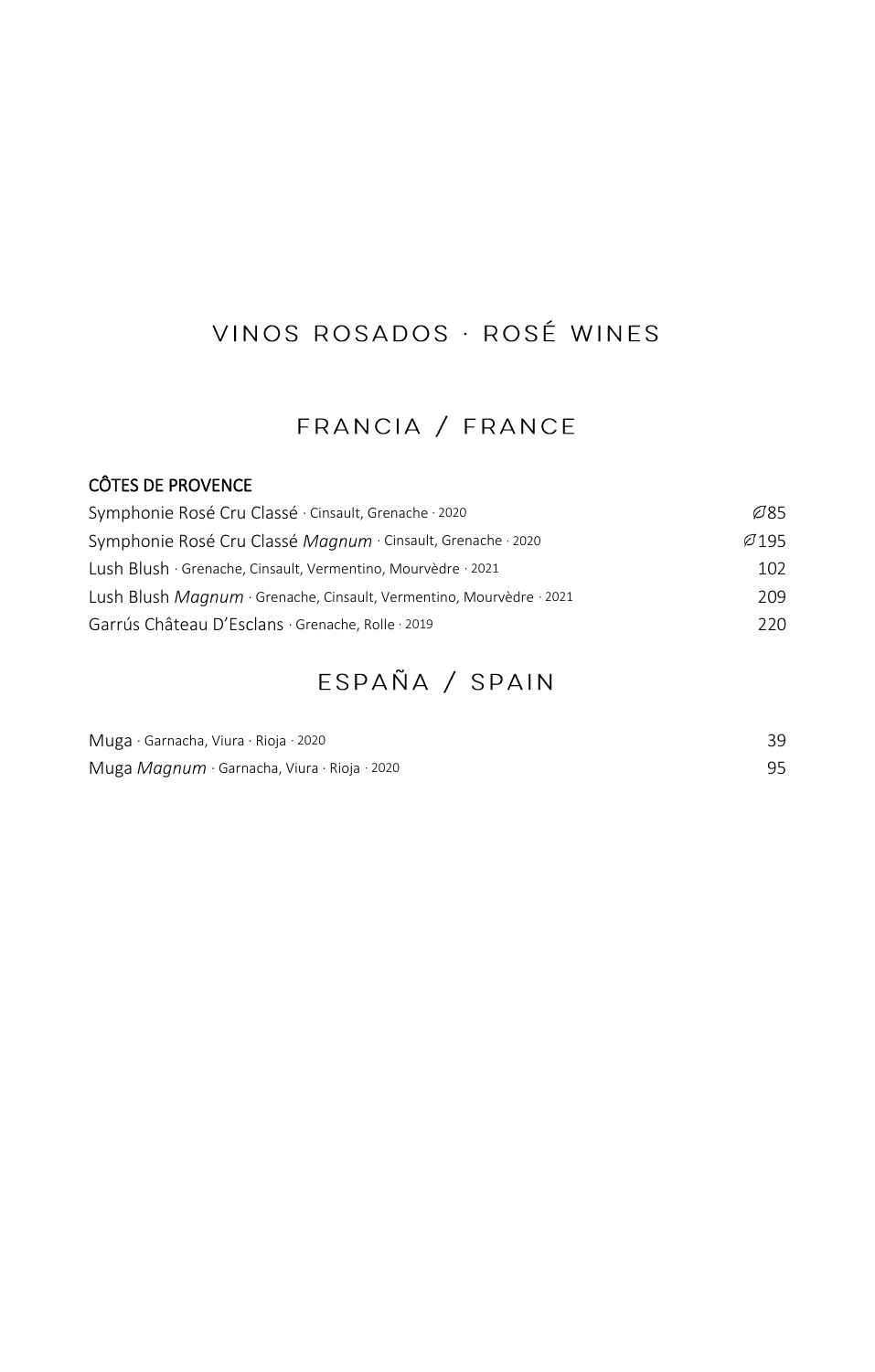# VINOS ROSADOS · ROSÉ WINES

### FRANCIA / FRANCE

### CÔTES DE PROVENCE

| Symphonie Rosé Cru Classé · Cinsault, Grenache · 2020                | Ø85  |
|----------------------------------------------------------------------|------|
| Symphonie Rosé Cru Classé Magnum · Cinsault, Grenache · 2020         | Ø195 |
| Lush Blush · Grenache, Cinsault, Vermentino, Mourvèdre · 2021        | 102  |
| Lush Blush Maanum · Grenache, Cinsault, Vermentino, Mourvèdre · 2021 | 209  |
| Garrús Château D'Esclans · Grenache, Rolle · 2019                    | 220  |

# ESPAÑA / SPAIN

| Muga · Garnacha, Viura · Rioja · 2020                          |  |
|----------------------------------------------------------------|--|
| Muga Magnum $\cdot$ Garnacha, Viura $\cdot$ Rioja $\cdot$ 2020 |  |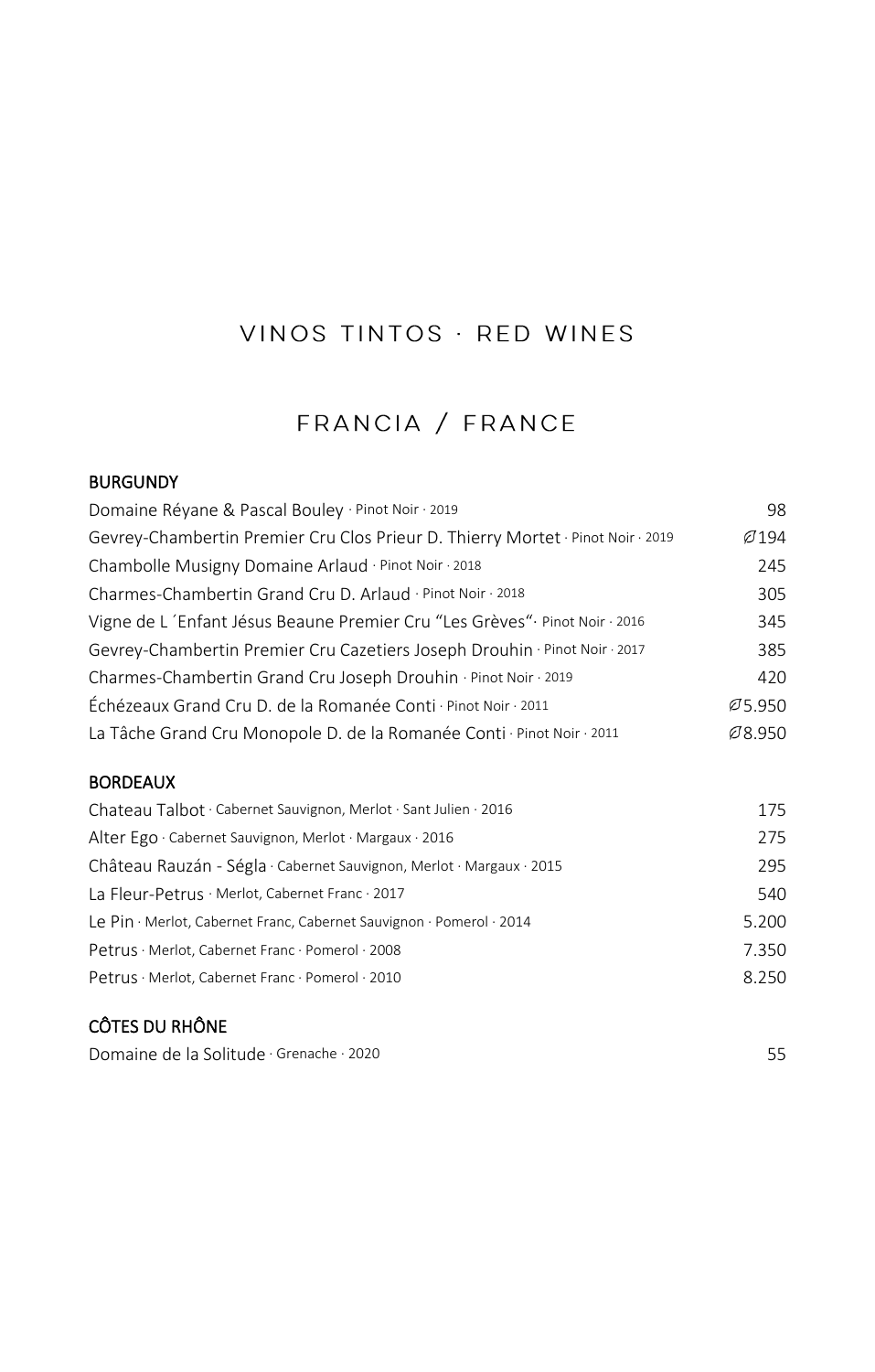## VINOS TINTOS · RED WINES

## FRANCIA / FRANCE

#### **BURGUNDY**

| Domaine Réyane & Pascal Bouley · Pinot Noir · 2019                              | 98     |
|---------------------------------------------------------------------------------|--------|
| Gevrey-Chambertin Premier Cru Clos Prieur D. Thierry Mortet · Pinot Noir · 2019 | Ø 194  |
| Chambolle Musigny Domaine Arlaud · Pinot Noir · 2018                            | 245    |
| Charmes-Chambertin Grand Cru D. Arlaud · Pinot Noir · 2018                      | 305    |
| Vigne de L'Enfant Jésus Beaune Premier Cru "Les Grèves" Pinot Noir · 2016       | 345    |
| Gevrey-Chambertin Premier Cru Cazetiers Joseph Drouhin · Pinot Noir · 2017      | 385    |
| Charmes-Chambertin Grand Cru Joseph Drouhin · Pinot Noir · 2019                 | 420    |
| Échézeaux Grand Cru D. de la Romanée Conti · Pinot Noir · 2011                  | Ø5.950 |
| La Tâche Grand Cru Monopole D. de la Romanée Conti · Pinot Noir · 2011          | Ø8.950 |

### **BORDEAUX**

| Chateau Talbot · Cabernet Sauvignon, Merlot · Sant Julien · 2016          | 175   |
|---------------------------------------------------------------------------|-------|
| Alter Ego $\cdot$ Cabernet Sauvignon, Merlot $\cdot$ Margaux $\cdot$ 2016 | 275   |
| Château Rauzán - Ségla · Cabernet Sauvignon, Merlot · Margaux · 2015      | 295   |
| La Fleur-Petrus · Merlot, Cabernet Franc · 2017                           | 540   |
| Le Pin · Merlot, Cabernet Franc, Cabernet Sauvignon · Pomerol · 2014      | 5.200 |
| Petrus · Merlot, Cabernet Franc · Pomerol · 2008                          | 7.350 |
| Petrus · Merlot, Cabernet Franc · Pomerol · 2010                          | 8.250 |

### CÔTES DU RHÔNE

Domaine de la Solitude · Grenache · 2020 55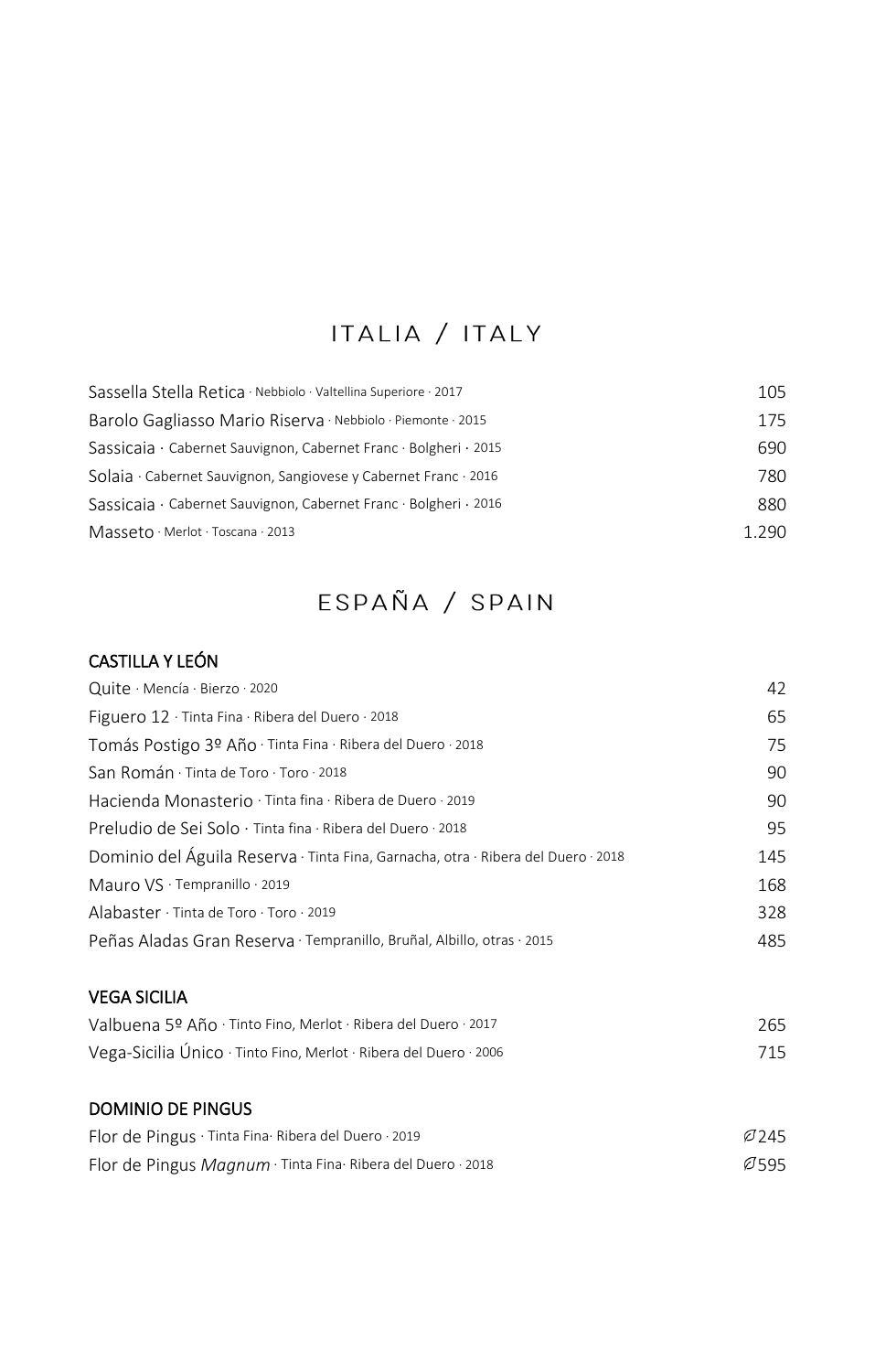# ITALIA / ITALY

| Sassella Stella Retica · Nebbiolo · Valtellina Superiore · 2017  | 105   |
|------------------------------------------------------------------|-------|
| Barolo Gagliasso Mario Riserva Nebbiolo Piemonte 2015            | 175   |
| Sassicaia · Cabernet Sauvignon, Cabernet Franc · Bolgheri · 2015 | 690   |
| Solaia · Cabernet Sauvignon, Sangiovese y Cabernet Franc · 2016  | 780   |
| Sassicaia · Cabernet Sauvignon, Cabernet Franc · Bolgheri · 2016 | 880   |
| Masseto · Merlot · Toscana · 2013                                | 1.290 |

# ESPAÑA / SPAIN

### CASTILLA Y LEÓN

| Quite · Mencía · Bierzo · 2020                                                    | 42   |
|-----------------------------------------------------------------------------------|------|
| Figuero 12 · Tinta Fina · Ribera del Duero · 2018                                 | 65   |
| Tomás Postigo 3º Año · Tinta Fina · Ribera del Duero · 2018                       | 75   |
| San Román · Tinta de Toro · Toro · 2018                                           | 90   |
| Hacienda Monasterio · Tinta fina · Ribera de Duero · 2019                         | 90   |
| Preludio de Sei Solo · Tinta fina · Ribera del Duero · 2018                       | 95   |
| Dominio del Águila Reserva · Tinta Fina, Garnacha, otra · Ribera del Duero · 2018 | 145  |
| Mauro VS · Tempranillo · 2019                                                     | 168  |
| Alabaster $\cdot$ Tinta de Toro $\cdot$ Toro $\cdot$ 2019                         | 328  |
| Peñas Aladas Gran Reserva · Tempranillo, Bruñal, Albillo, otras · 2015            | 485  |
| <b>VEGA SICILIA</b>                                                               |      |
| Valbuena 5º Año · Tinto Fino, Merlot · Ribera del Duero · 2017                    | 265  |
| Vega-Sicilia Único · Tinto Fino, Merlot · Ribera del Duero · 2006                 | 715  |
| <b>DOMINIO DE PINGUS</b>                                                          |      |
| Flor de Pingus · Tinta Fina Ribera del Duero · 2019                               | Ø245 |

| Flor de Pingus Magnum · Tinta Fina · Ribera del Duero · 2018 | Ø595 |
|--------------------------------------------------------------|------|
|--------------------------------------------------------------|------|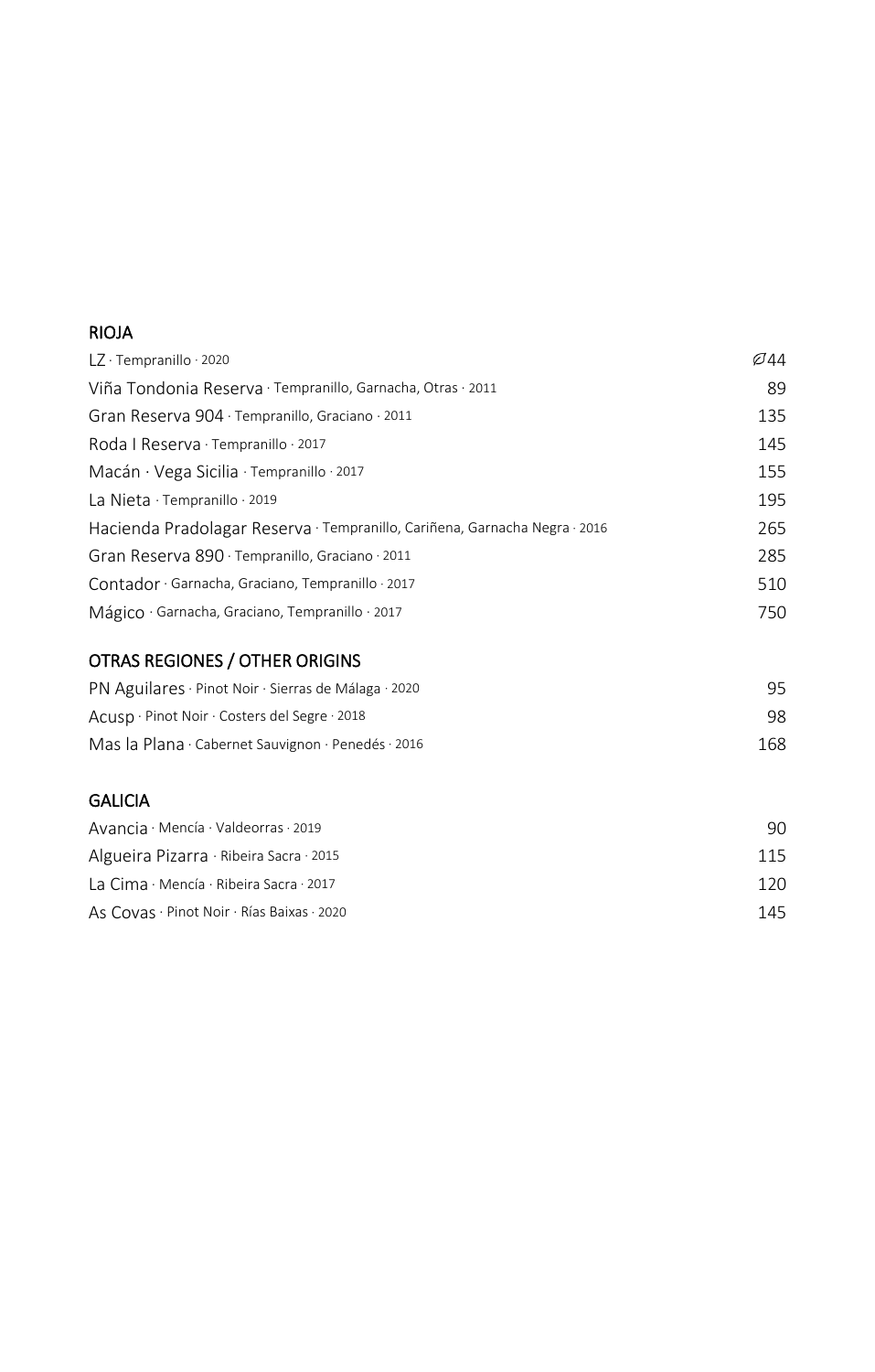### RIOJA

| $LZ \cdot$ Tempranillo $\cdot$ 2020                                        | Ø44 |
|----------------------------------------------------------------------------|-----|
| Viña Tondonia Reserva · Tempranillo, Garnacha, Otras · 2011                | 89  |
| Gran Reserva 904 · Tempranillo, Graciano · 2011                            | 135 |
| Roda   Reserva $\cdot$ Tempranillo $\cdot$ 2017                            | 145 |
| Macán · Vega Sicilia · Tempranillo · 2017                                  | 155 |
| La Nieta $\cdot$ Tempranillo $\cdot$ 2019                                  | 195 |
| Hacienda Pradolagar Reserva · Tempranillo, Cariñena, Garnacha Negra · 2016 | 265 |
| Gran Reserva 890 · Tempranillo, Graciano · 2011                            | 285 |
| Contador · Garnacha, Graciano, Tempranillo · 2017                          | 510 |
| Mágico · Garnacha, Graciano, Tempranillo · 2017                            | 750 |

### OTRAS REGIONES / OTHER ORIGINS

| PN Aguilares · Pinot Noir · Sierras de Málaga · 2020 |     |
|------------------------------------------------------|-----|
| Acusp · Pinot Noir · Costers del Segre · 2018        | 98  |
| Mas la Plana · Cabernet Sauvignon · Penedés · 2016   | 168 |

#### **GALICIA**

| Avancia · Mencía · Valdeorras · 2019       | 90.  |
|--------------------------------------------|------|
| Algueira Pizarra · Ribeira Sacra · 2015    | 115  |
| La Cima · Mencía · Ribeira Sacra · 2017    | 120. |
| As Covas · Pinot Noir · Rías Baixas · 2020 | 145  |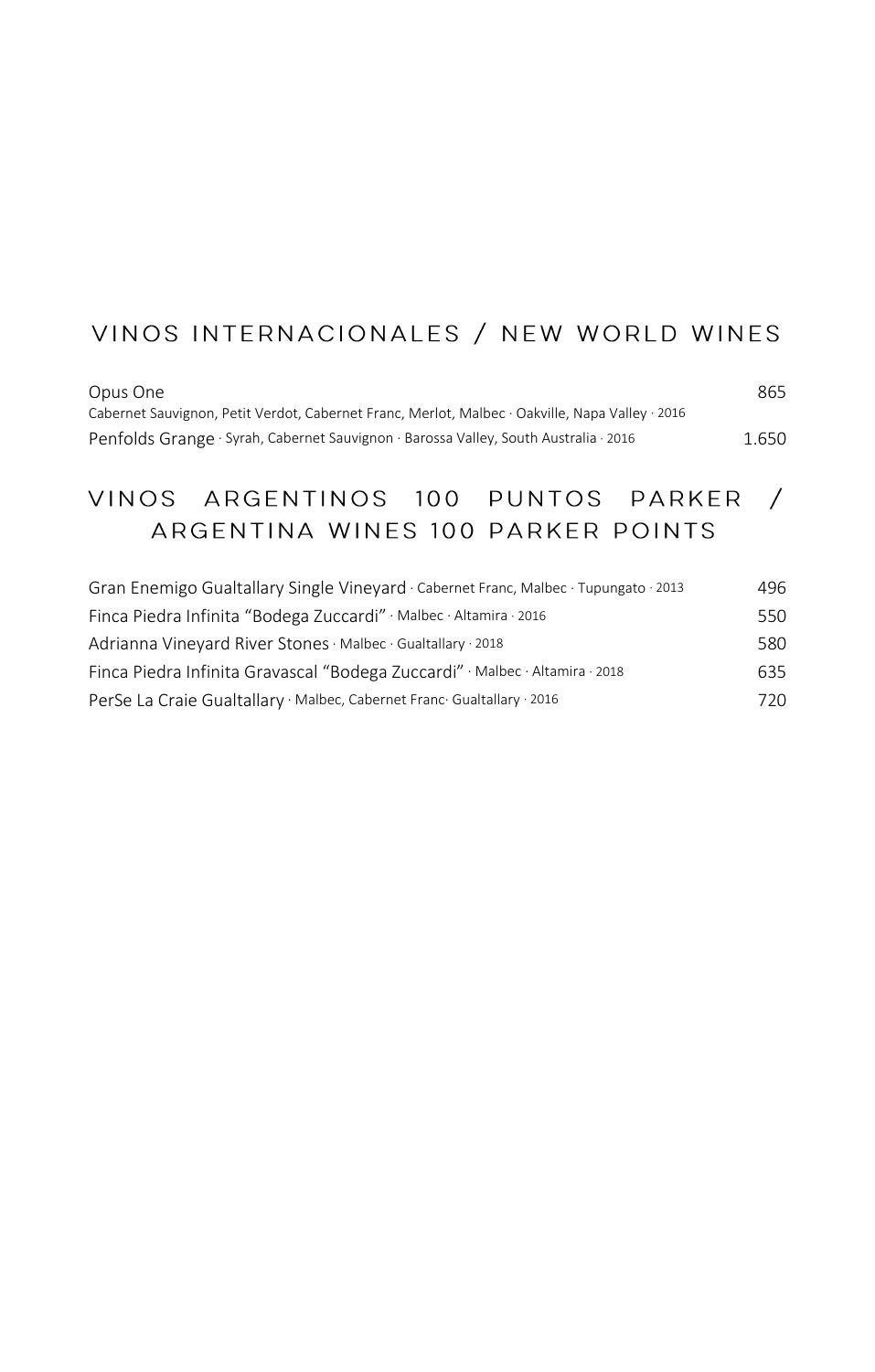# VINOS INTERNACIONALES / NEW WORLD WINES

| Opus One                                                                                        | 865   |
|-------------------------------------------------------------------------------------------------|-------|
| Cabernet Sauvignon, Petit Verdot, Cabernet Franc, Merlot, Malbec · Oakville, Napa Valley · 2016 |       |
| Penfolds Grange · Syrah, Cabernet Sauvignon · Barossa Valley, South Australia · 2016            | 1.650 |

# VINOS ARGENTINOS 100 PUNTOS PARKER / ARGENTINA WINES 100 PARKER POINTS

| Gran Enemigo Gualtallary Single Vineyard · Cabernet Franc, Malbec · Tupungato · 2013 | 496 |
|--------------------------------------------------------------------------------------|-----|
| Finca Piedra Infinita "Bodega Zuccardi" · Malbec · Altamira · 2016                   | 550 |
| Adrianna Vineyard River Stones · Malbec · Gualtallary · 2018                         | 580 |
| Finca Piedra Infinita Gravascal "Bodega Zuccardi" · Malbec · Altamira · 2018         | 635 |
| PerSe La Craie Gualtallary · Malbec, Cabernet Franc Gualtallary · 2016               | 720 |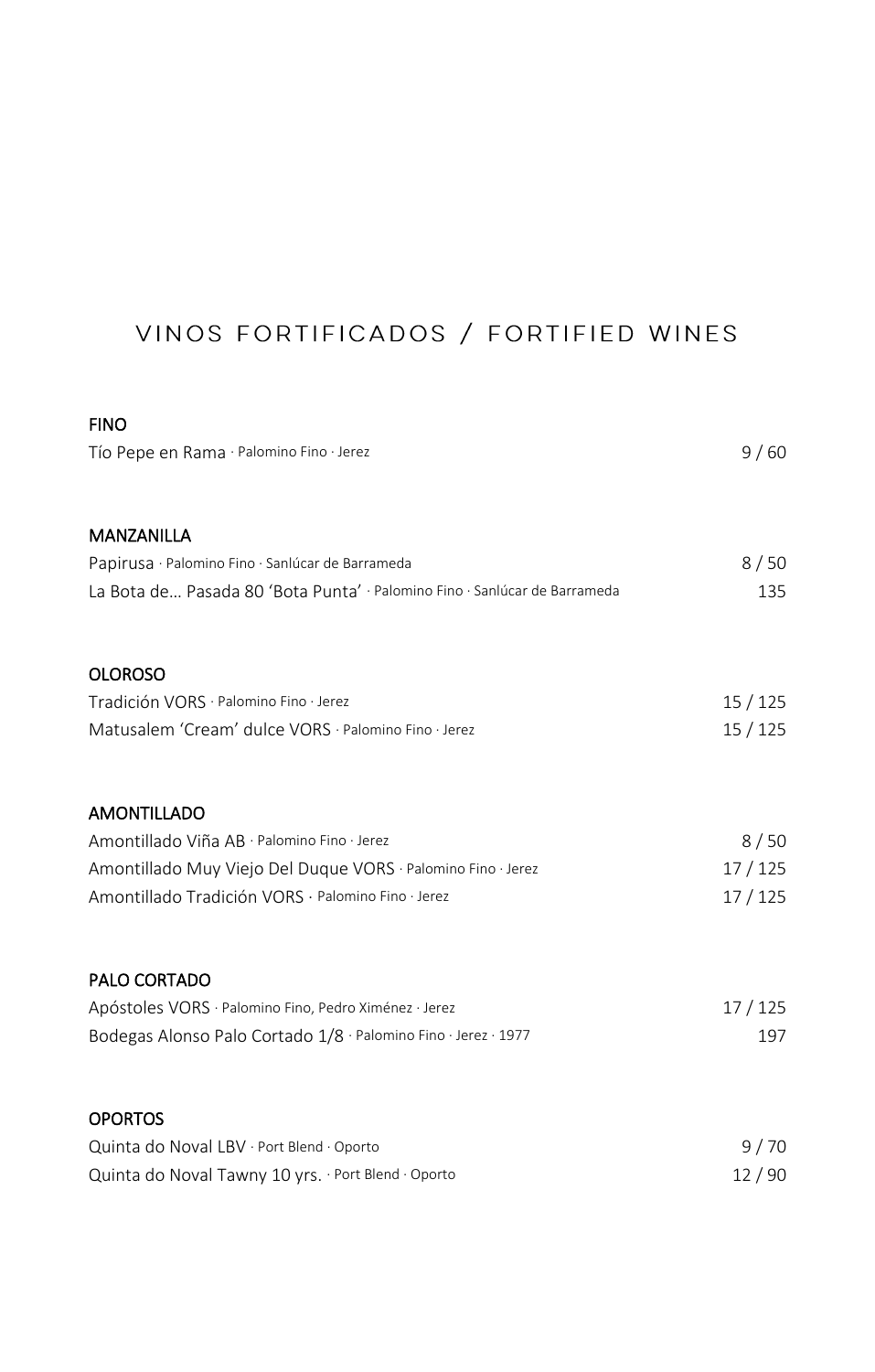# VINOS FORTIFICADOS / FORTIFIED WINES

| <b>FINO</b>                                                               |        |
|---------------------------------------------------------------------------|--------|
| Tío Pepe en Rama · Palomino Fino · Jerez                                  | 9/60   |
| <b>MANZANILLA</b>                                                         |        |
| Papirusa · Palomino Fino · Sanlúcar de Barrameda                          | 8/50   |
| La Bota de Pasada 80 'Bota Punta' · Palomino Fino · Sanlúcar de Barrameda | 135    |
| <b>OLOROSO</b>                                                            |        |
| Tradición VORS · Palomino Fino · Jerez                                    | 15/125 |
| Matusalem 'Cream' dulce VORS · Palomino Fino · Jerez                      | 15/125 |
| <b>AMONTILLADO</b>                                                        |        |
| Amontillado Viña AB · Palomino Fino · Jerez                               | 8/50   |
| Amontillado Muy Viejo Del Duque VORS · Palomino Fino · Jerez              | 17/125 |
| Amontillado Tradición VORS · Palomino Fino · Jerez                        | 17/125 |
| PALO CORTADO                                                              |        |
| Apóstoles VORS · Palomino Fino, Pedro Ximénez · Jerez                     | 17/125 |
| Bodegas Alonso Palo Cortado 1/8 · Palomino Fino · Jerez · 1977            | 197    |
| <b>OPORTOS</b>                                                            |        |
| Quinta do Noval LBV · Port Blend · Oporto                                 | 9/70   |
| Quinta do Noval Tawny 10 yrs. · Port Blend · Oporto                       | 12/90  |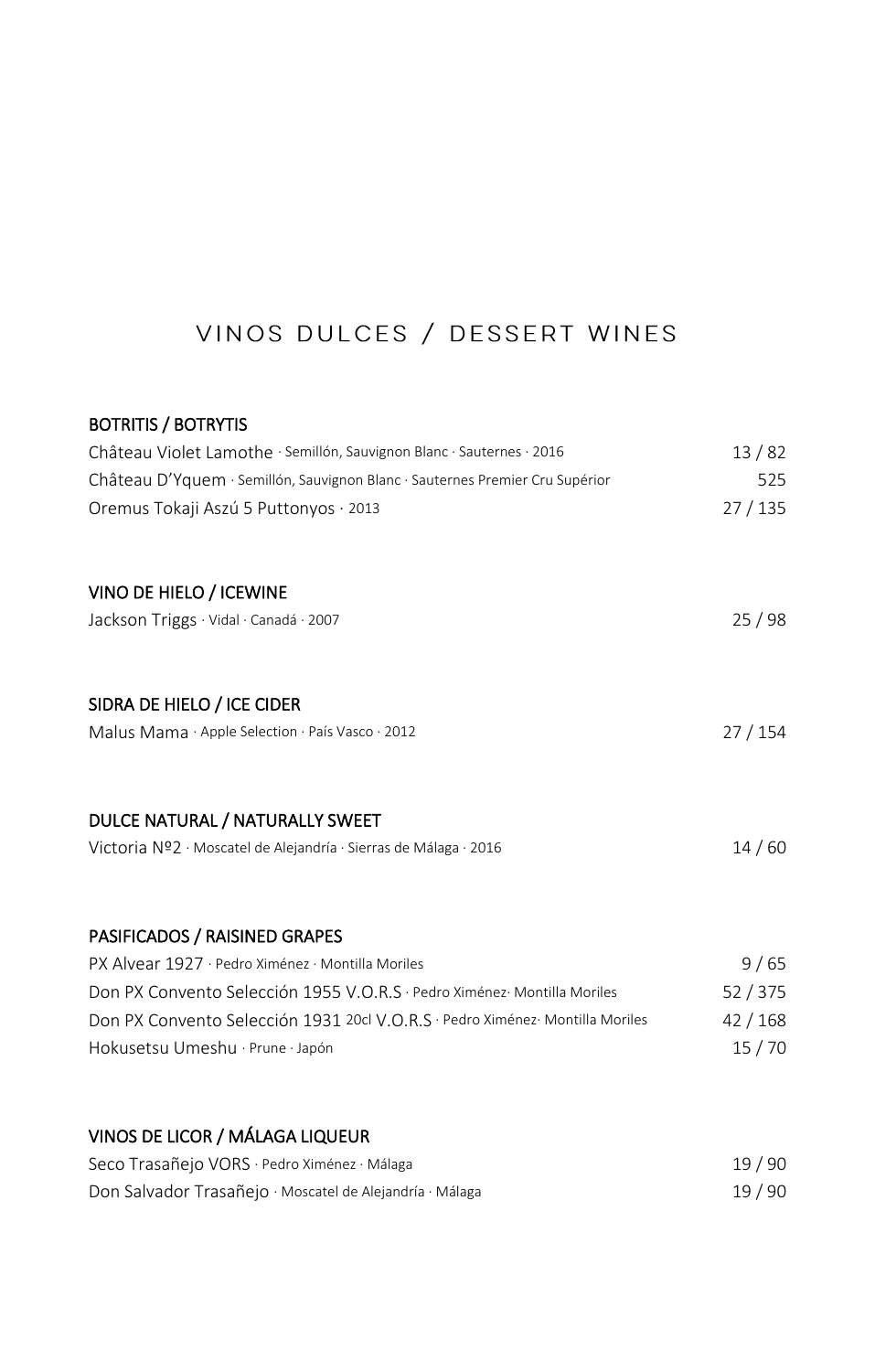# VINOS DULCES / DESSERT WINES

#### BOTRITIS / BOTRYTIS

| Château Violet Lamothe · Semillón, Sauvignon Blanc · Sauternes · 2016        | 13/82  |
|------------------------------------------------------------------------------|--------|
| Château D'Yquem · Semillón, Sauvignon Blanc · Sauternes Premier Cru Supérior | 525    |
| Oremus Tokaji Aszú 5 Puttonyos · 2013                                        | 27/135 |
| VINO DE HIELO / ICEWINE                                                      |        |
| Jackson Triggs · Vidal · Canadá · 2007                                       | 25/98  |
| SIDRA DE HIELO / ICE CIDER                                                   |        |
| Malus Mama · Apple Selection · País Vasco · 2012                             | 27/154 |
| DULCE NATURAL / NATURALLY SWEET                                              |        |
| Victoria Nº2 · Moscatel de Alejandría · Sierras de Málaga · 2016             | 14/60  |
| PASIFICADOS / RAISINED GRAPES                                                |        |
| PX Alvear 1927 · Pedro Ximénez · Montilla Moriles                            | 9/65   |
| Don PX Convento Selección 1955 V.O.R.S · Pedro Ximénez Montilla Moriles      | 52/375 |
| Don PX Convento Selección 1931 20cl V.O.R.S · Pedro Ximénez Montilla Moriles | 42/168 |
| Hokusetsu Umeshu · Prune · Japón                                             | 15/70  |
|                                                                              |        |

# VINOS DE LICOR / MÁLAGA LIQUEUR

| Seco Trasañejo VORS · Pedro Ximénez · Málaga             | 19/90 |
|----------------------------------------------------------|-------|
| Don Salvador Trasañejo · Moscatel de Alejandría · Málaga | 19/90 |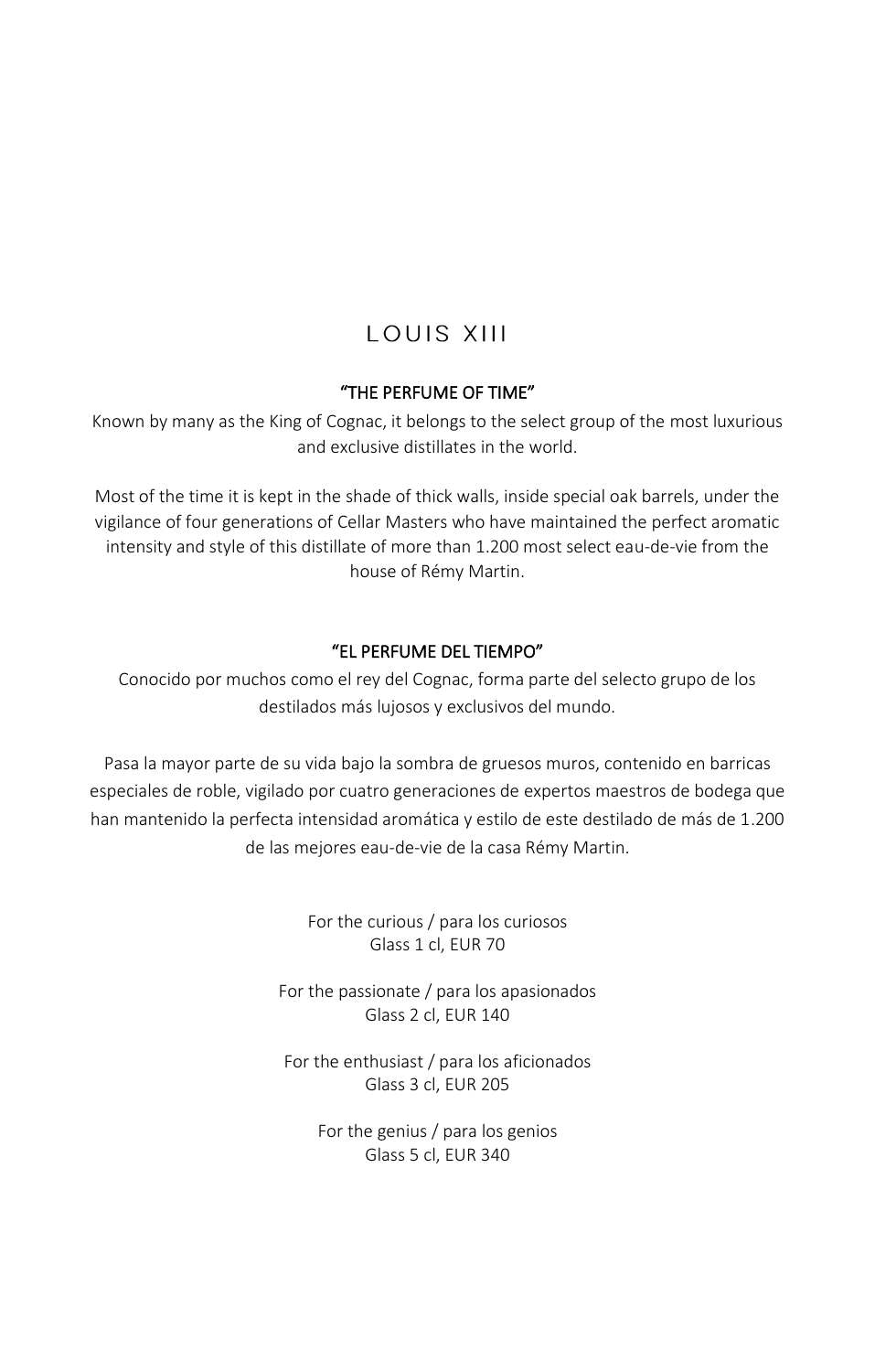# **LOUIS XIII**

### "THE PERFUME OF TIME"

Known by many as the King of Cognac, it belongs to the select group of the most luxurious and exclusive distillates in the world.

Most of the time it is kept in the shade of thick walls, inside special oak barrels, under the vigilance of four generations of Cellar Masters who have maintained the perfect aromatic intensity and style of this distillate of more than 1.200 most select eau-de-vie from the house of Rémy Martin.

#### "EL PERFUME DEL TIEMPO"

Conocido por muchos como el rey del Cognac, forma parte del selecto grupo de los destilados más lujosos y exclusivos del mundo.

Pasa la mayor parte de su vida bajo la sombra de gruesos muros, contenido en barricas especiales de roble, vigilado por cuatro generaciones de expertos maestros de bodega que han mantenido la perfecta intensidad aromática y estilo de este destilado de más de 1.200 de las mejores eau-de-vie de la casa Rémy Martin.

> For the curious / para los curiosos Glass 1 cl, EUR 70

For the passionate / para los apasionados Glass 2 cl, EUR 140

For the enthusiast / para los aficionados Glass 3 cl, EUR 205

> For the genius / para los genios Glass 5 cl, EUR 340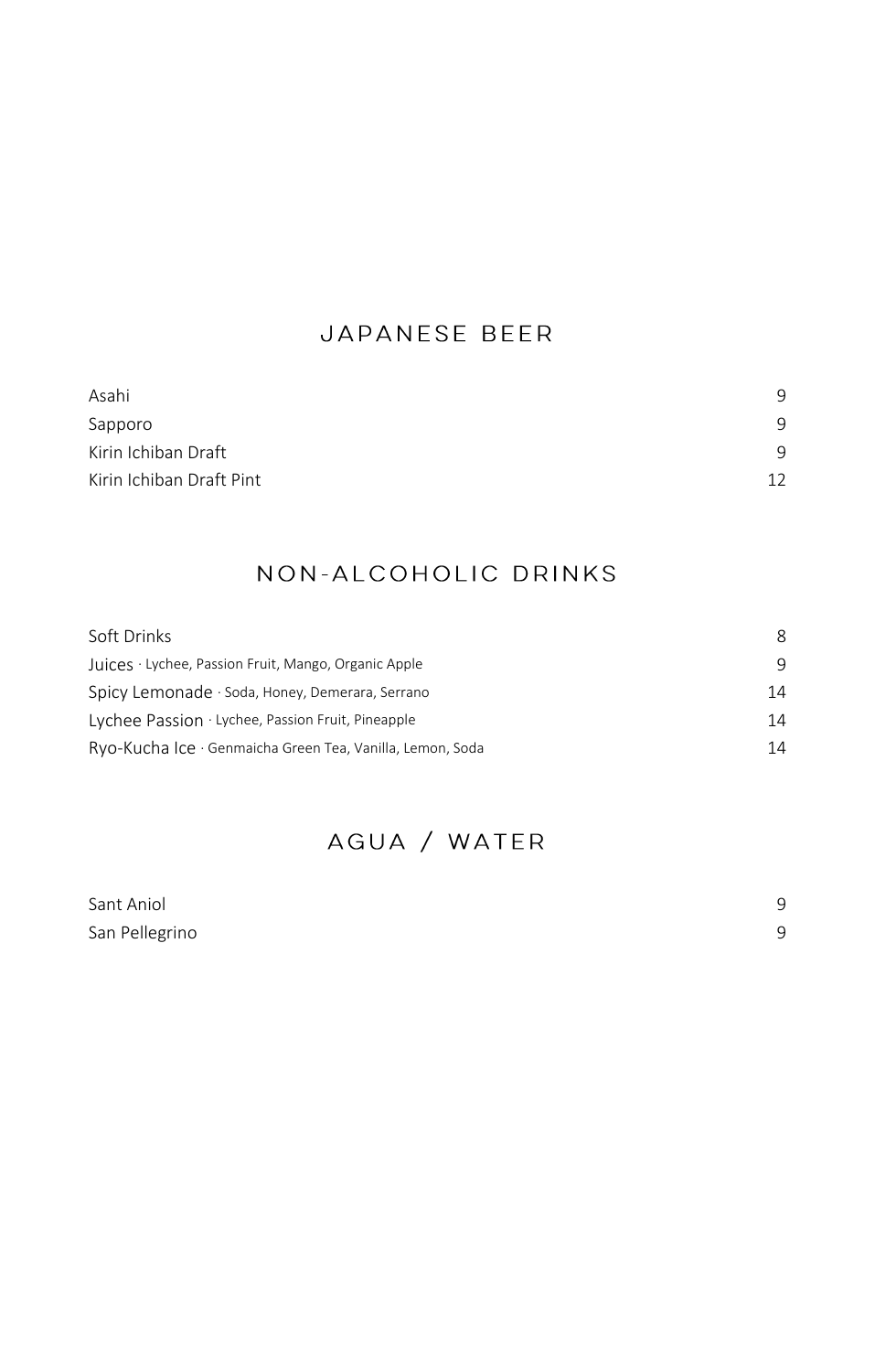## JAPANESE BEER

| Asahi                    | 9  |
|--------------------------|----|
| Sapporo                  | 9  |
| Kirin Ichiban Draft      | 9  |
| Kirin Ichiban Draft Pint | 12 |

## NON-ALCOHOLIC DRINKS

| Soft Drinks                                               | 8  |
|-----------------------------------------------------------|----|
| Juices · Lychee, Passion Fruit, Mango, Organic Apple      | 9  |
| Spicy Lemonade · Soda, Honey, Demerara, Serrano           | 14 |
| Lychee Passion · Lychee, Passion Fruit, Pineapple         | 14 |
| Ryo-Kucha Ice · Genmaicha Green Tea, Vanilla, Lemon, Soda | 14 |

# AGUA / WATER

| Sant Aniol     |  |
|----------------|--|
| San Pellegrino |  |